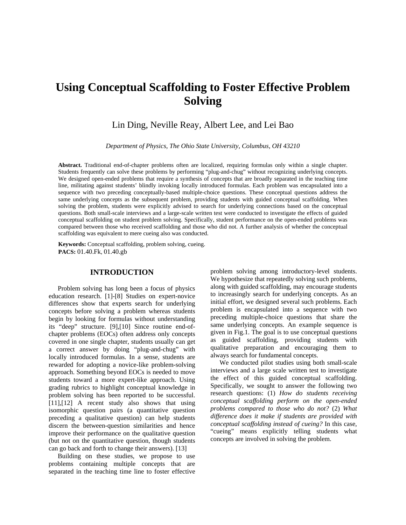# **Using Conceptual Scaffolding to Foster Effective Problem Solving**

# Lin Ding, Neville Reay, Albert Lee, and Lei Bao

*Department of Physics, The Ohio State University, Columbus, OH 43210* 

**Abstract.** Traditional end-of-chapter problems often are localized, requiring formulas only within a single chapter. Students frequently can solve these problems by performing "plug-and-chug" without recognizing underlying concepts. We designed open-ended problems that require a synthesis of concepts that are broadly separated in the teaching time line, militating against students' blindly invoking locally introduced formulas. Each problem was encapsulated into a sequence with two preceding conceptually-based multiple-choice questions. These conceptual questions address the same underlying concepts as the subsequent problem, providing students with guided conceptual scaffolding. When solving the problem, students were explicitly advised to search for underlying connections based on the conceptual questions. Both small-scale interviews and a large-scale written test were conducted to investigate the effects of guided conceptual scaffolding on student problem solving. Specifically, student performance on the open-ended problems was compared between those who received scaffolding and those who did not. A further analysis of whether the conceptual scaffolding was equivalent to mere cueing also was conducted.

**Keywords:** Conceptual scaffolding, problem solving, cueing. **PACS:** 01.40.Fk, 01.40.gb

## **INTRODUCTION**

Problem solving has long been a focus of physics education research. [1]-[8] Studies on expert-novice differences show that experts search for underlying concepts before solving a problem whereas students begin by looking for formulas without understanding its "deep" structure. [9],[10] Since routine end-ofchapter problems (EOCs) often address only concepts covered in one single chapter, students usually can get a correct answer by doing "plug-and-chug" with locally introduced formulas. In a sense, students are rewarded for adopting a novice-like problem-solving approach. Something beyond EOCs is needed to move students toward a more expert-like approach. Using grading rubrics to highlight conceptual knowledge in problem solving has been reported to be successful. [11],[12] A recent study also shows that using isomorphic question pairs (a quantitative question preceding a qualitative question) can help students discern the between-question similarities and hence improve their performance on the qualitative question (but not on the quantitative question, though students can go back and forth to change their answers). [13]

Building on these studies, we propose to use problems containing multiple concepts that are separated in the teaching time line to foster effective

problem solving among introductory-level students. We hypothesize that repeatedly solving such problems, along with guided scaffolding, may encourage students to increasingly search for underlying concepts. As an initial effort, we designed several such problems. Each problem is encapsulated into a sequence with two preceding multiple-choice questions that share the same underlying concepts. An example sequence is given in Fig.1. The goal is to use conceptual questions as guided scaffolding, providing students with qualitative preparation and encouraging them to always search for fundamental concepts.

We conducted pilot studies using both small-scale interviews and a large scale written test to investigate the effect of this guided conceptual scaffolding. Specifically, we sought to answer the following two research questions: (1) *How do students receiving conceptual scaffolding perform on the open-ended problems compared to those who do not?* (2) *What difference does it make if students are provided with conceptual scaffolding instead of cueing?* In this case, "cueing" means explicitly telling students what concepts are involved in solving the problem.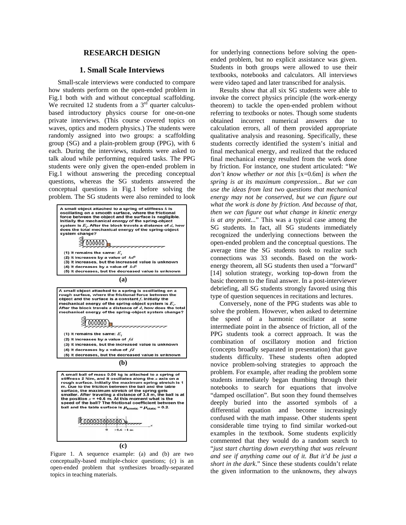#### **RESEARCH DESIGN**

#### **1. Small Scale Interviews**

Small-scale interviews were conducted to compare how students perform on the open-ended problem in Fig.1 both with and without conceptual scaffolding. We recruited 12 students from a  $3<sup>rd</sup>$  quarter calculusbased introductory physics course for one-on-one private interviews. (This course covered topics on waves, optics and modern physics.) The students were randomly assigned into two groups: a scaffolding group (SG) and a plain-problem group (PPG), with 6 each. During the interviews, students were asked to talk aloud while performing required tasks. The PPG students were only given the open-ended problem in Fig.1 without answering the preceding conceptual questions, whereas the SG students answered the conceptual questions in Fig.1 before solving the problem. The SG students were also reminded to look



- (4) It decreases by a value of  $fd$
- (5) It decreases, but the decreased value is unknown

**(b)** 

A small ball of mass 0.05 kg is attached to a spring of A small ball of mass 0.05 kg is attached to a spring of<br>stiffness 2 N/m, and it oscillates along the x axis on a<br>rough surface. Initially the maximum spring stretch is 1<br>m. Due to the friction between the ball and the tab ball and the table surface is  $\mu_{\text{kinetic}} = \mu_{\text{static}} = 0.2$ .  $\sqrt[3]{\begin{array}{r} 0 & 0 \\ 0 & 0 \end{array}}$ â  $+0.6 + 1$  m

**(c)** 

Figure 1. A sequence example: (a) and (b) are two conceptually-based multiple-choice questions; (c) is an open-ended problem that synthesizes broadly-separated topics in teaching materials.

for underlying connections before solving the openended problem, but no explicit assistance was given. Students in both groups were allowed to use their textbooks, notebooks and calculators. All interviews were video taped and later transcribed for analysis.

Results show that all six SG students were able to invoke the correct physics principle (the work-energy theorem) to tackle the open-ended problem without referring to textbooks or notes. Though some students obtained incorrect numerical answers due to calculation errors, all of them provided appropriate qualitative analysis and reasoning. Specifically, these students correctly identified the system's initial and final mechanical energy, and realized that the reduced final mechanical energy resulted from the work done by friction. For instance, one student articulated: "*We don't know whether or not this* [x=0.6m] *is when the spring is at its maximum compression... But we can use the ideas from last two questions that mechanical energy may not be conserved, but we can figure out what the work is done by friction. And because of that, then we can figure out what change in kinetic energy is at any point...*" This was a typical case among the SG students. In fact, all SG students immediately recognized the underlying connections between the open-ended problem and the conceptual questions. The average time the SG students took to realize such connections was 33 seconds. Based on the workenergy theorem, all SG students then used a "forward" [14] solution strategy, working top-down from the basic theorem to the final answer. In a post-interviewer debriefing, all SG students strongly favored using this type of question sequences in recitations and lectures.

Conversely, none of the PPG students was able to solve the problem. However, when asked to determine the speed of a harmonic oscillator at some intermediate point in the absence of friction, all of the PPG students took a correct approach. It was the combination of oscillatory motion and friction (concepts broadly separated in presentation) that gave students difficulty. These students often adopted novice problem-solving strategies to approach the problem. For example, after reading the problem some students immediately began thumbing through their notebooks to search for equations that involve "damped oscillation". But soon they found themselves deeply buried into the assorted symbols of a differential equation and become increasingly confused with the math impasse. Other students spent considerable time trying to find similar worked-out examples in the textbook. Some students explicitly commented that they would do a random search to "*just start charting down everything that was relevant and see if anything came out of it. But it'd be just a short in the dark*." Since these students couldn't relate the given information to the unknowns, they always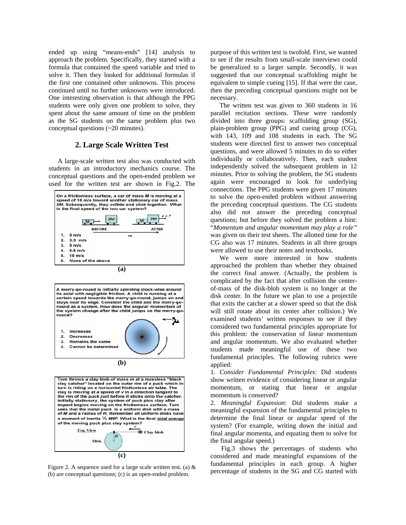ended up using "means-ends" [14] analysis to approach the problem. Specifically, they started with a formula that contained the speed variable and tried to solve it. Then they looked for additional formulas if the first one contained other unknowns. This process continued until no further unknowns were introduced. One interesting observation is that although the PPG students were only given one problem to solve, they spent about the same amount of time on the problem as the SG students on the same problem plus two conceptual questions (~20 minutes).

#### **2. Large Scale Written Test**

A large-scale written test also was conducted with students in an introductory mechanics course. The conceptual questions and the open-ended problem we used for the written test are shown in Fig.2. The







(b) are conceptual questions; (c) is an open-ended problem.

purpose of this written test is twofold. First, we wanted to see if the results from small-scale interviews could be generalized to a larger sample. Secondly, it was suggested that our conceptual scaffolding might be equivalent to simple cueing [15]. If that were the case, then the preceding conceptual questions might not be necessary.

The written test was given to 360 students in 16 parallel recitation sections. These were randomly divided into three groups: scaffolding group (SG), plain-problem group (PPG) and cueing group (CG), with 143, 109 and 108 students in each. The SG students were directed first to answer two conceptual questions, and were allowed 5 minutes to do so either individually or collaboratively. Then, each student independently solved the subsequent problem in 12 minutes. Prior to solving the problem, the SG students again were encouraged to look for underlying connections. The PPG students were given 17 minutes to solve the open-ended problem without answering the preceding conceptual questions. The CG students also did not answer the preceding conceptual questions; but before they solved the problem a hint: "*Momentum and angular momentum may play a role"*  was given on their test sheets. The allotted time for the CG also was 17 minutes. Students in all three groups were allowed to use their notes and textbooks.

We were more interested in how students approached the problem than whether they obtained the correct final answer. (Actually, the problem is complicated by the fact that after collision the centerof-mass of the disk-blob system is no longer at the disk center. In the future we plan to use a projectile that exits the catcher at a slower speed so that the disk will still rotate about its center after collision.) We examined students' written responses to see if they considered two fundamental principles appropriate for this problem: the conservation of linear momentum and angular momentum. We also evaluated whether students made meaningful use of these two fundamental principles. The following rubrics were applied:

1. *Consider Fundamental Principles*: Did students show written evidence of considering linear or angular momentum, or stating that linear or angular momentum is conserved?

2. *Meaningful Expansion*: Did students make a meaningful expansion of the fundamental principles to determine the final linear or angular speed of the system? (For example, writing down the initial and final angular momenta, and equating them to solve for the final angular speed.)

 Fig.3 shows the percentages of students who considered and made meaningful expansions of the fundamental principles in each group. A higher Figure 2. A sequence used for a large scale written test. (a) &  $\frac{1}{2}$  fundamental principles in each group. A linguation  $\frac{1}{2}$  is an open anded problem percentage of students in the SG and CG started with